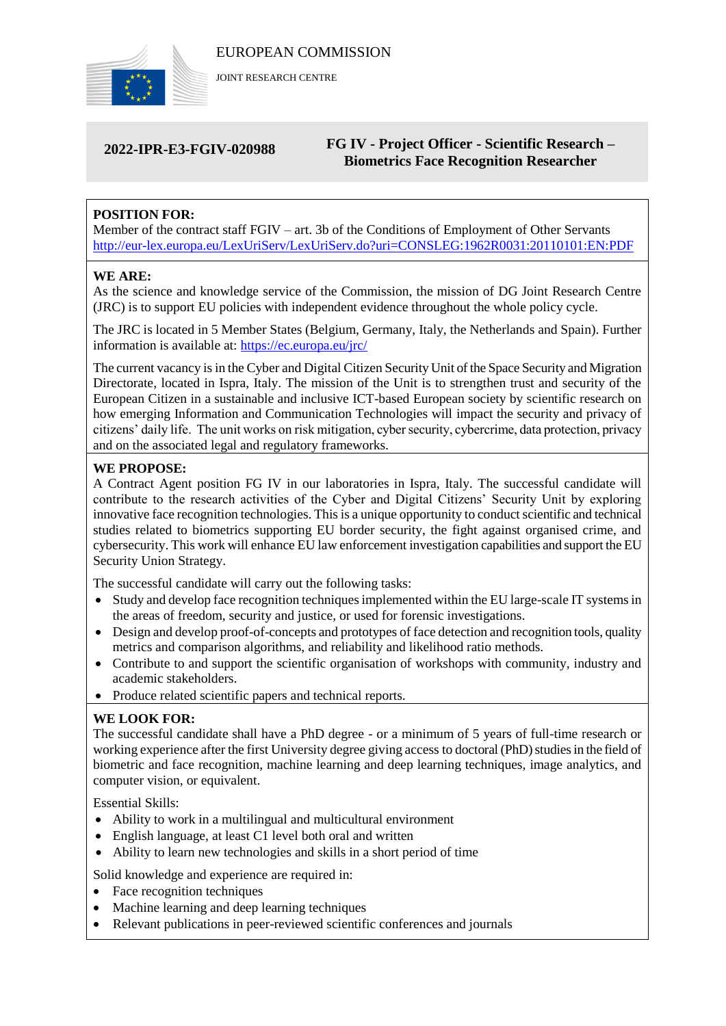

JOINT RESEARCH CENTRE

# **2022-IPR-E3-FGIV-020988**

# **FG IV - Project Officer - Scientific Research – Biometrics Face Recognition Researcher**

# **POSITION FOR:**

Member of the contract staff FGIV – art. 3b of the Conditions of Employment of Other Servants <http://eur-lex.europa.eu/LexUriServ/LexUriServ.do?uri=CONSLEG:1962R0031:20110101:EN:PDF>

# **WE ARE:**

As the science and knowledge service of the Commission, the mission of DG Joint Research Centre (JRC) is to support EU policies with independent evidence throughout the whole policy cycle.

The JRC is located in 5 Member States (Belgium, Germany, Italy, the Netherlands and Spain). Further information is available at: <https://ec.europa.eu/jrc/>

The current vacancy is in the Cyber and Digital Citizen Security Unit of the Space Security and Migration Directorate, located in Ispra, Italy. The mission of the Unit is to strengthen trust and security of the European Citizen in a sustainable and inclusive ICT-based European society by scientific research on how emerging Information and Communication Technologies will impact the security and privacy of citizens' daily life. The unit works on risk mitigation, cyber security, cybercrime, data protection, privacy and on the associated legal and regulatory frameworks.

# **WE PROPOSE:**

A Contract Agent position FG IV in our laboratories in Ispra, Italy. The successful candidate will contribute to the research activities of the Cyber and Digital Citizens' Security Unit by exploring innovative face recognition technologies. This is a unique opportunity to conduct scientific and technical studies related to biometrics supporting EU border security, the fight against organised crime, and cybersecurity. This work will enhance EU law enforcement investigation capabilities and support the EU Security Union Strategy.

The successful candidate will carry out the following tasks:

- Study and develop face recognition techniques implemented within the EU large-scale IT systems in the areas of freedom, security and justice, or used for forensic investigations.
- Design and develop proof-of-concepts and prototypes of face detection and recognition tools, quality metrics and comparison algorithms, and reliability and likelihood ratio methods.
- Contribute to and support the scientific organisation of workshops with community, industry and academic stakeholders.
- Produce related scientific papers and technical reports.

# **WE LOOK FOR:**

The successful candidate shall have a PhD degree - or a minimum of 5 years of full-time research or working experience after the first University degree giving access to doctoral (PhD) studies in the field of biometric and face recognition, machine learning and deep learning techniques, image analytics, and computer vision, or equivalent.

Essential Skills:

- Ability to work in a multilingual and multicultural environment
- English language, at least C1 level both oral and written
- Ability to learn new technologies and skills in a short period of time

Solid knowledge and experience are required in:

- Face recognition techniques
- Machine learning and deep learning techniques
- Relevant publications in peer-reviewed scientific conferences and journals